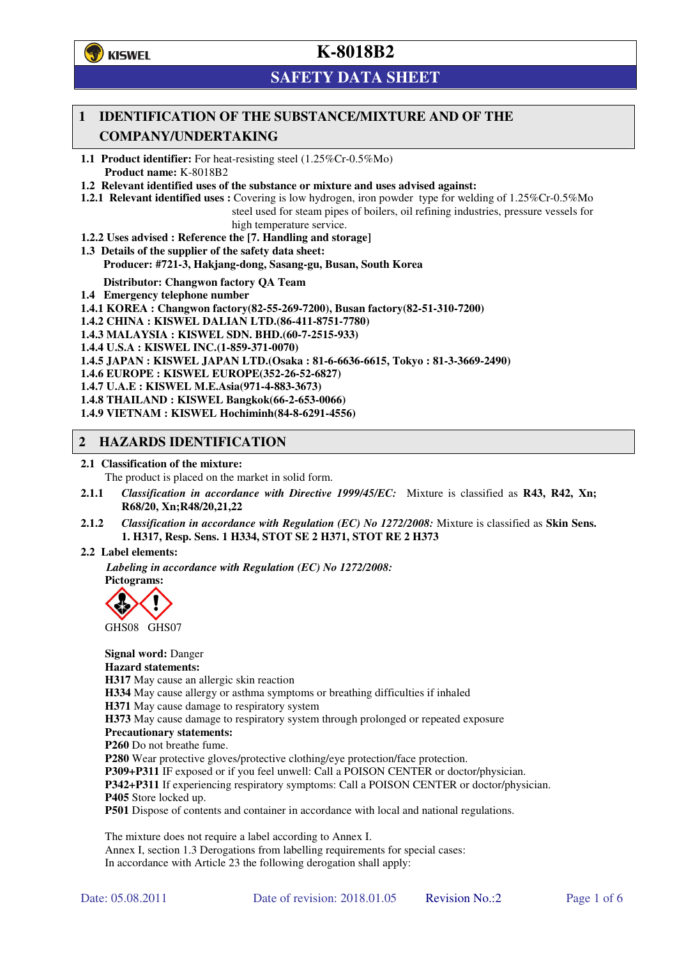

# **SAFETY DATA SHEET**

### **1 IDENTIFICATION OF THE SUBSTANCE/MIXTURE AND OF THE COMPANY/UNDERTAKING**

**1.1 Product identifier:** For heat-resisting steel (1.25%Cr-0.5%Mo) **Product name:** K-8018B2

**1.2 Relevant identified uses of the substance or mixture and uses advised against:**

- **1.2.1 Relevant identified uses :** Covering is low hydrogen, iron powder type for welding of 1.25%Cr-0.5%Mo steel used for steam pipes of boilers, oil refining industries, pressure vessels for high temperature service.
- **1.2.2 Uses advised : Reference the [7. Handling and storage]**
- **1.3 Details of the supplier of the safety data sheet: Producer: #721-3, Hakjang-dong, Sasang-gu, Busan, South Korea**

**Distributor: Changwon factory QA Team** 

- **1.4 Emergency telephone number**
- **1.4.1 KOREA : Changwon factory(82-55-269-7200), Busan factory(82-51-310-7200)**
- **1.4.2 CHINA : KISWEL DALIAN LTD.(86-411-8751-7780)**

**1.4.3 MALAYSIA : KISWEL SDN. BHD.(60-7-2515-933)** 

- **1.4.4 U.S.A : KISWEL INC.(1-859-371-0070)**
- **1.4.5 JAPAN : KISWEL JAPAN LTD.(Osaka : 81-6-6636-6615, Tokyo : 81-3-3669-2490)**
- **1.4.6 EUROPE : KISWEL EUROPE(352-26-52-6827)**
- **1.4.7 U.A.E : KISWEL M.E.Asia(971-4-883-3673)**
- **1.4.8 THAILAND : KISWEL Bangkok(66-2-653-0066)**
- **1.4.9 VIETNAM : KISWEL Hochiminh(84-8-6291-4556)**

#### **2 HAZARDS IDENTIFICATION**

#### **2.1 Classification of the mixture:**

The product is placed on the market in solid form.

- **2.1.1** *Classification in accordance with Directive 1999/45/EC:* Mixture is classified as **R43, R42, Xn; R68/20, Xn;R48/20,21,22**
- **2.1.2** *Classification in accordance with Regulation (EC) No 1272/2008:* Mixture is classified as **Skin Sens. 1. H317, Resp. Sens. 1 H334, STOT SE 2 H371, STOT RE 2 H373**

#### **2.2 Label elements:**

*Labeling in accordance with Regulation (EC) No 1272/2008:*  **Pictograms:** 



GHS08 GHS07

**Signal word:** Danger **Hazard statements: H317** May cause an allergic skin reaction **H334** May cause allergy or asthma symptoms or breathing difficulties if inhaled **H371** May cause damage to respiratory system **H373** May cause damage to respiratory system through prolonged or repeated exposure **Precautionary statements: P260** Do not breathe fume. **P280** Wear protective gloves/protective clothing/eye protection/face protection. **P309+P311** IF exposed or if you feel unwell: Call a POISON CENTER or doctor/physician. **P342+P311** If experiencing respiratory symptoms: Call a POISON CENTER or doctor/physician. **P405** Store locked up. **P501** Dispose of contents and container in accordance with local and national regulations.

The mixture does not require a label according to Annex I. Annex I, section 1.3 Derogations from labelling requirements for special cases: In accordance with Article 23 the following derogation shall apply: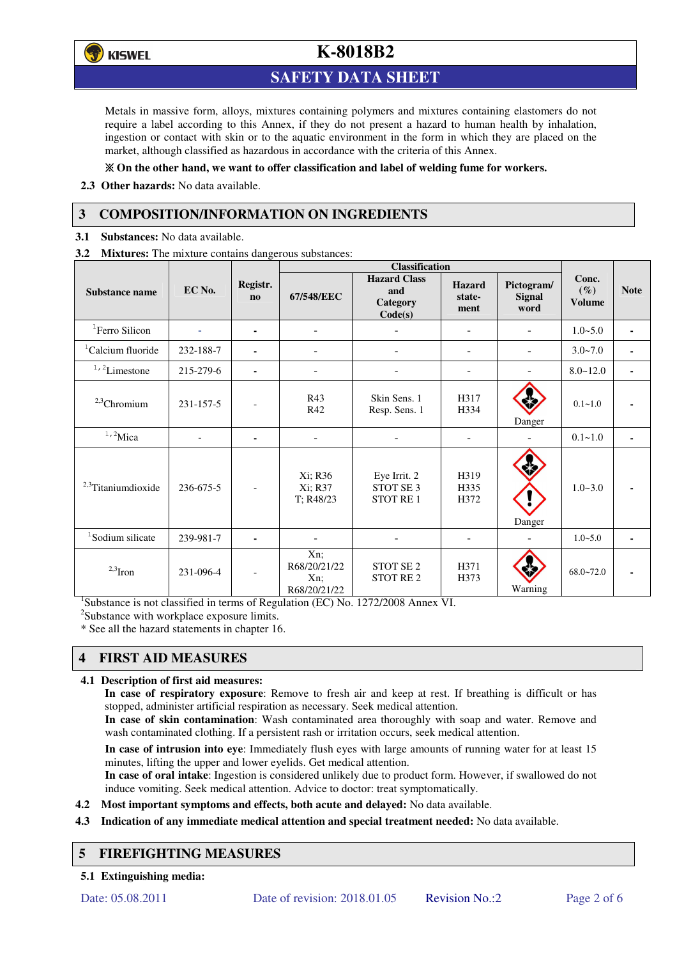

## **SAFETY DATA SHEET**

Metals in massive form, alloys, mixtures containing polymers and mixtures containing elastomers do not require a label according to this Annex, if they do not present a hazard to human health by inhalation, ingestion or contact with skin or to the aquatic environment in the form in which they are placed on the market, although classified as hazardous in accordance with the criteria of this Annex.

#### **On the other hand, we want to offer classification and label of welding fume for workers.**

**2.3 Other hazards:** No data available.

### **3 COMPOSITION/INFORMATION ON INGREDIENTS**

**3.1 Substances:** No data available.

**3.2 Mixtures:** The mixture contains dangerous substances:

|                                |           |                                    | <b>Classification</b>                         |                                                          |                                 |                                     |                                  |             |
|--------------------------------|-----------|------------------------------------|-----------------------------------------------|----------------------------------------------------------|---------------------------------|-------------------------------------|----------------------------------|-------------|
| <b>Substance name</b>          | EC No.    | Registr.<br>$\mathbf{n}\mathbf{o}$ | 67/548/EEC                                    | <b>Hazard Class</b><br>and<br><b>Category</b><br>Code(s) | <b>Hazard</b><br>state-<br>ment | Pictogram/<br><b>Signal</b><br>word | Conc.<br>$(\%)$<br><b>Volume</b> | <b>Note</b> |
| <sup>1</sup> Ferro Silicon     |           | ۰                                  |                                               |                                                          | -                               |                                     | $1.0 - 5.0$                      |             |
| <sup>1</sup> Calcium fluoride  | 232-188-7 | ٠                                  |                                               |                                                          | ۰                               |                                     | $3.0 - 7.0$                      |             |
| $1/2$ Limestone                | 215-279-6 | $\blacksquare$                     | $\blacksquare$                                |                                                          | -                               |                                     | $8.0 - 12.0$                     |             |
| $2,3$ Chromium                 | 231-157-5 |                                    | R43<br>R42                                    | Skin Sens. 1<br>Resp. Sens. 1                            | H317<br>H334                    | Danger                              | $0.1 - 1.0$                      |             |
| $1,2$ Mica                     |           | $\blacksquare$                     | ٠                                             |                                                          |                                 |                                     | $0.1 - 1.0$                      |             |
| <sup>2,3</sup> Titaniumdioxide | 236-675-5 | $\overline{\phantom{a}}$           | Xi; R36<br>Xi; R37<br>T; R48/23               | Eye Irrit. 2<br>STOT SE <sub>3</sub><br><b>STOT RE1</b>  | H319<br>H335<br>H372            | Danger                              | $1.0 - 3.0$                      |             |
| <sup>1</sup> Sodium silicate   | 239-981-7 |                                    |                                               |                                                          |                                 |                                     | $1.0 - 5.0$                      |             |
| $2,3$ Iron                     | 231-096-4 |                                    | Xn;<br>R68/20/21/22<br>$Xn$ :<br>R68/20/21/22 | STOT SE <sub>2</sub><br><b>STOT RE2</b>                  | H371<br>H373                    | Warning                             | $68.0 - 72.0$                    |             |

<sup>1</sup>Substance is not classified in terms of Regulation (EC) No. 1272/2008 Annex VI.

<sup>2</sup>Substance with workplace exposure limits.

\* See all the hazard statements in chapter 16.

# **4 FIRST AID MEASURES**

#### **4.1 Description of first aid measures:**

**In case of respiratory exposure**: Remove to fresh air and keep at rest. If breathing is difficult or has stopped, administer artificial respiration as necessary. Seek medical attention.

**In case of skin contamination**: Wash contaminated area thoroughly with soap and water. Remove and wash contaminated clothing. If a persistent rash or irritation occurs, seek medical attention.

 **In case of intrusion into eye**: Immediately flush eyes with large amounts of running water for at least 15 minutes, lifting the upper and lower eyelids. Get medical attention.

**In case of oral intake**: Ingestion is considered unlikely due to product form. However, if swallowed do not induce vomiting. Seek medical attention. Advice to doctor: treat symptomatically.

- **4.2 Most important symptoms and effects, both acute and delayed:** No data available.
- **4.3 Indication of any immediate medical attention and special treatment needed:** No data available.

### **5 FIREFIGHTING MEASURES**

**5.1 Extinguishing media:**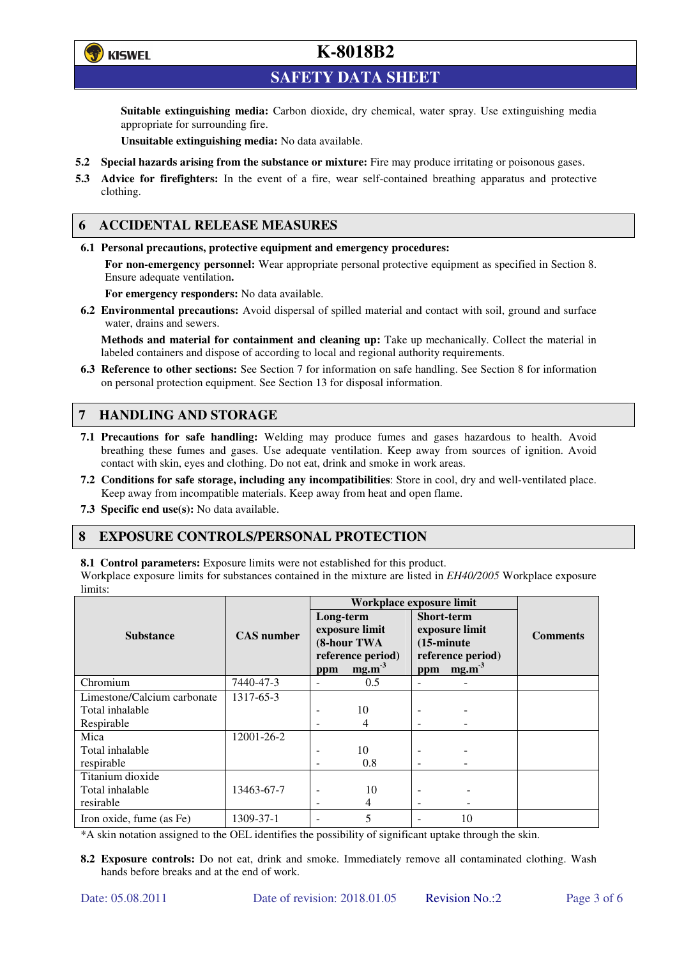

**SAFETY DATA SHEET** 

**Suitable extinguishing media:** Carbon dioxide, dry chemical, water spray. Use extinguishing media appropriate for surrounding fire.

**Unsuitable extinguishing media:** No data available.

- **5.2 Special hazards arising from the substance or mixture:** Fire may produce irritating or poisonous gases.
- **5.3 Advice for firefighters:** In the event of a fire, wear self-contained breathing apparatus and protective clothing.

#### **6 ACCIDENTAL RELEASE MEASURES**

**6.1 Personal precautions, protective equipment and emergency procedures:** 

**For non-emergency personnel:** Wear appropriate personal protective equipment as specified in Section 8. Ensure adequate ventilation**.** 

**For emergency responders:** No data available.

**6.2 Environmental precautions:** Avoid dispersal of spilled material and contact with soil, ground and surface water, drains and sewers.

**Methods and material for containment and cleaning up:** Take up mechanically. Collect the material in labeled containers and dispose of according to local and regional authority requirements.

**6.3 Reference to other sections:** See Section 7 for information on safe handling. See Section 8 for information on personal protection equipment. See Section 13 for disposal information.

### **7 HANDLING AND STORAGE**

- **7.1 Precautions for safe handling:** Welding may produce fumes and gases hazardous to health. Avoid breathing these fumes and gases. Use adequate ventilation. Keep away from sources of ignition. Avoid contact with skin, eyes and clothing. Do not eat, drink and smoke in work areas.
- **7.2 Conditions for safe storage, including any incompatibilities**: Store in cool, dry and well-ventilated place. Keep away from incompatible materials. Keep away from heat and open flame.
- **7.3 Specific end use(s):** No data available.

#### **8 EXPOSURE CONTROLS/PERSONAL PROTECTION**

**8.1 Control parameters:** Exposure limits were not established for this product.

Workplace exposure limits for substances contained in the mixture are listed in *EH40/2005* Workplace exposure limits:

|                             |                   | Workplace exposure limit                                        |                   |                                                                                  |             |                 |  |
|-----------------------------|-------------------|-----------------------------------------------------------------|-------------------|----------------------------------------------------------------------------------|-------------|-----------------|--|
|                             |                   | Long-term<br>exposure limit<br>(8-hour TWA<br>reference period) |                   | <b>Short-term</b><br>exposure limit<br>$(15\text{-minute})$<br>reference period) |             | <b>Comments</b> |  |
| <b>Substance</b>            | <b>CAS</b> number |                                                                 |                   |                                                                                  |             |                 |  |
|                             |                   |                                                                 |                   |                                                                                  |             |                 |  |
|                             |                   |                                                                 |                   |                                                                                  |             |                 |  |
|                             |                   | ppm                                                             | mg.m <sup>3</sup> |                                                                                  | ppm $mg.m3$ |                 |  |
| Chromium                    | 7440-47-3         | $\overline{\phantom{a}}$                                        | 0.5               |                                                                                  |             |                 |  |
| Limestone/Calcium carbonate | 1317-65-3         |                                                                 |                   |                                                                                  |             |                 |  |
| Total inhalable             |                   |                                                                 | 10                |                                                                                  |             |                 |  |
| Respirable                  |                   |                                                                 | 4                 |                                                                                  |             |                 |  |
| Mica                        | 12001-26-2        |                                                                 |                   |                                                                                  |             |                 |  |
| Total inhalable             |                   | ٠                                                               | 10                |                                                                                  |             |                 |  |
| respirable                  |                   | $\overline{\phantom{0}}$                                        | 0.8               | -                                                                                |             |                 |  |
| Titanium dioxide            |                   |                                                                 |                   |                                                                                  |             |                 |  |
| Total inhalable             | 13463-67-7        |                                                                 | 10                |                                                                                  |             |                 |  |
| resirable                   |                   |                                                                 | 4                 | ۰                                                                                |             |                 |  |
| Iron oxide, fume (as Fe)    | 1309-37-1         | ۰                                                               | 5                 |                                                                                  | 10          |                 |  |

\*A skin notation assigned to the OEL identifies the possibility of significant uptake through the skin.

**8.2 Exposure controls:** Do not eat, drink and smoke. Immediately remove all contaminated clothing. Wash hands before breaks and at the end of work.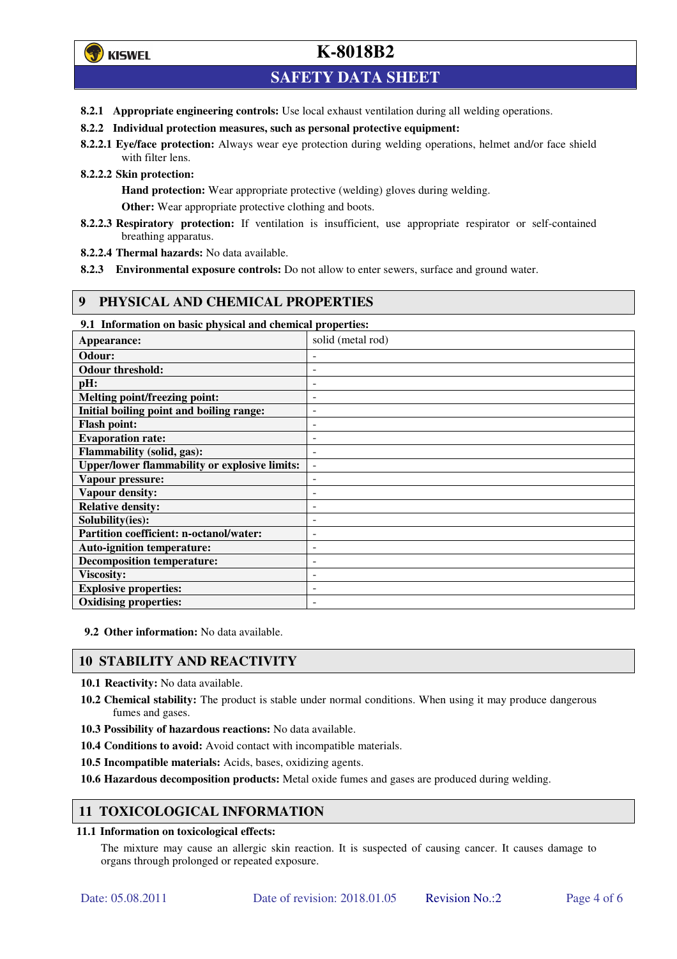## **SAFETY DATA SHEET**

- **8.2.1 Appropriate engineering controls:** Use local exhaust ventilation during all welding operations.
- **8.2.2 Individual protection measures, such as personal protective equipment:**
- **8.2.2.1 Eye/face protection:** Always wear eye protection during welding operations, helmet and/or face shield with filter lens.
- **8.2.2.2 Skin protection:**

**Hand protection:** Wear appropriate protective (welding) gloves during welding.

**Other:** Wear appropriate protective clothing and boots.

- **8.2.2.3 Respiratory protection:** If ventilation is insufficient, use appropriate respirator or self-contained breathing apparatus.
- **8.2.2.4 Thermal hazards:** No data available.
- **8.2.3 Environmental exposure controls:** Do not allow to enter sewers, surface and ground water.

### **9 PHYSICAL AND CHEMICAL PROPERTIES**

**9.1 Information on basic physical and chemical properties:** 

| Appearance:                                          | solid (metal rod)        |
|------------------------------------------------------|--------------------------|
| Odour:                                               |                          |
| <b>Odour threshold:</b>                              |                          |
| pH:                                                  |                          |
| <b>Melting point/freezing point:</b>                 | ۰                        |
| Initial boiling point and boiling range:             | $\overline{\phantom{0}}$ |
| <b>Flash point:</b>                                  |                          |
| <b>Evaporation rate:</b>                             |                          |
| Flammability (solid, gas):                           | ÷                        |
| <b>Upper/lower flammability or explosive limits:</b> | $\blacksquare$           |
| Vapour pressure:                                     | $\overline{\phantom{0}}$ |
| Vapour density:                                      |                          |
| <b>Relative density:</b>                             |                          |
| Solubility(ies):                                     |                          |
| Partition coefficient: n-octanol/water:              | -                        |
| <b>Auto-ignition temperature:</b>                    | $\overline{\phantom{0}}$ |
| <b>Decomposition temperature:</b>                    | ۰                        |
| <b>Viscosity:</b>                                    | ۰                        |
| <b>Explosive properties:</b>                         |                          |
| <b>Oxidising properties:</b>                         |                          |

**9.2 Other information:** No data available.

### **10 STABILITY AND REACTIVITY**

**10.1 Reactivity:** No data available.

- **10.2 Chemical stability:** The product is stable under normal conditions. When using it may produce dangerous fumes and gases.
- **10.3 Possibility of hazardous reactions:** No data available.
- **10.4 Conditions to avoid:** Avoid contact with incompatible materials.
- **10.5 Incompatible materials:** Acids, bases, oxidizing agents.

**10.6 Hazardous decomposition products:** Metal oxide fumes and gases are produced during welding.

#### **11 TOXICOLOGICAL INFORMATION**

#### **11.1 Information on toxicological effects:**

The mixture may cause an allergic skin reaction. It is suspected of causing cancer. It causes damage to organs through prolonged or repeated exposure.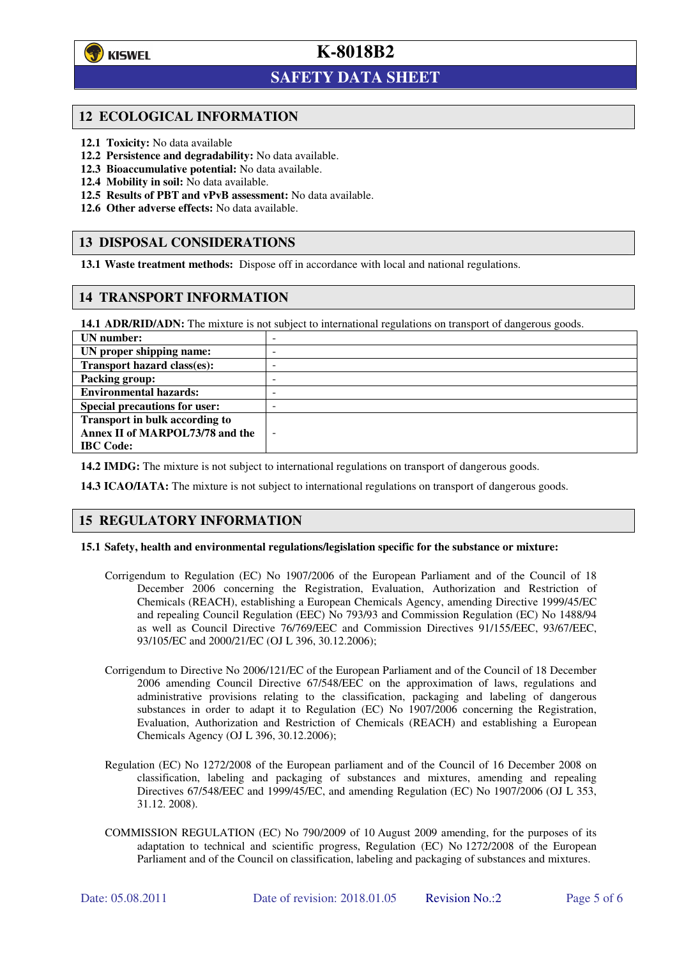

l

## **K-8018B2**

## **SAFETY DATA SHEET**

#### **12 ECOLOGICAL INFORMATION**

- **12.1 Toxicity:** No data available
- **12.2 Persistence and degradability:** No data available.
- **12.3 Bioaccumulative potential:** No data available.
- **12.4 Mobility in soil:** No data available.
- **12.5 Results of PBT and vPvB assessment:** No data available.
- **12.6 Other adverse effects:** No data available.

### **13 DISPOSAL CONSIDERATIONS**

**13.1 Waste treatment methods:** Dispose off in accordance with local and national regulations.

### **14 TRANSPORT INFORMATION**

**14.1 ADR/RID/ADN:** The mixture is not subject to international regulations on transport of dangerous goods.

| UN number:                            | $\overline{\phantom{a}}$ |
|---------------------------------------|--------------------------|
| UN proper shipping name:              | -                        |
| Transport hazard class(es):           | $\overline{\phantom{a}}$ |
| <b>Packing group:</b>                 | -                        |
| <b>Environmental hazards:</b>         | -                        |
| <b>Special precautions for user:</b>  | -                        |
| <b>Transport in bulk according to</b> |                          |
| Annex II of MARPOL73/78 and the       | $\overline{\phantom{a}}$ |
| <b>IBC</b> Code:                      |                          |

**14.2 IMDG:** The mixture is not subject to international regulations on transport of dangerous goods.

**14.3 ICAO/IATA:** The mixture is not subject to international regulations on transport of dangerous goods.

#### **15 REGULATORY INFORMATION**

#### **15.1 Safety, health and environmental regulations/legislation specific for the substance or mixture:**

- Corrigendum to Regulation (EC) No 1907/2006 of the European Parliament and of the Council of 18 December 2006 concerning the Registration, Evaluation, Authorization and Restriction of Chemicals (REACH), establishing a European Chemicals Agency, amending Directive 1999/45/EC and repealing Council Regulation (EEC) No 793/93 and Commission Regulation (EC) No 1488/94 as well as Council Directive 76/769/EEC and Commission Directives 91/155/EEC, 93/67/EEC, 93/105/EC and 2000/21/EC (OJ L 396, 30.12.2006);
- Corrigendum to Directive No 2006/121/EC of the European Parliament and of the Council of 18 December 2006 amending Council Directive 67/548/EEC on the approximation of laws, regulations and administrative provisions relating to the classification, packaging and labeling of dangerous substances in order to adapt it to Regulation (EC) No 1907/2006 concerning the Registration, Evaluation, Authorization and Restriction of Chemicals (REACH) and establishing a European Chemicals Agency (OJ L 396, 30.12.2006);
- Regulation (EC) No 1272/2008 of the European parliament and of the Council of 16 December 2008 on classification, labeling and packaging of substances and mixtures, amending and repealing Directives 67/548/EEC and 1999/45/EC, and amending Regulation (EC) No 1907/2006 (OJ L 353, 31.12. 2008).
- COMMISSION REGULATION (EC) No 790/2009 of 10 August 2009 amending, for the purposes of its adaptation to technical and scientific progress, Regulation (EC) No 1272/2008 of the European Parliament and of the Council on classification, labeling and packaging of substances and mixtures.